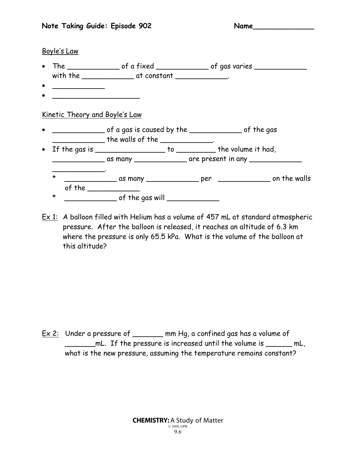#### Boyle's Law

- The \_\_\_\_\_\_\_\_\_\_\_\_\_\_\_\_\_ of a fixed \_\_\_\_\_\_\_\_\_\_\_\_\_\_\_\_\_ of gas varies \_\_\_\_\_\_\_\_\_\_\_\_\_ with the  $\begin{array}{ccc} \text{with the} & \text{if} & \text{if} & \text{if} & \text{if} & \text{if} & \text{if} & \text{if} & \text{if} & \text{if} & \text{if} & \text{if} & \text{if} & \text{if} & \text{if} & \text{if} & \text{if} & \text{if} & \text{if} & \text{if} & \text{if} & \text{if} & \text{if} & \text{if} & \text{if} & \text{if} & \text{if} & \text{if} & \text{if} & \text{if} & \text{if} & \text{if} & \text{if} & \text{if}$
- \_\_\_\_\_\_\_\_\_\_\_\_
- $\bullet$   $\qquad$   $\qquad$   $\qquad$   $\qquad$   $\qquad$   $\qquad$   $\qquad$   $\qquad$   $\qquad$   $\qquad$   $\qquad$   $\qquad$   $\qquad$   $\qquad$   $\qquad$   $\qquad$   $\qquad$   $\qquad$   $\qquad$   $\qquad$   $\qquad$   $\qquad$   $\qquad$   $\qquad$   $\qquad$   $\qquad$   $\qquad$   $\qquad$   $\qquad$   $\qquad$   $\qquad$   $\qquad$   $\qquad$   $\qquad$   $\qquad$   $\qquad$

## Kinetic Theory and Boyle's Law

- $\frac{1}{2}$  of a gas is caused by the  $\frac{1}{2}$  of the gas  $\blacksquare$  the walls of the  $\blacksquare$
- If the gas is \_\_\_\_\_\_\_\_\_\_\_\_\_\_\_\_ to \_\_\_\_\_\_\_\_\_ the volume it had, \_\_\_\_\_\_\_\_\_\_\_\_ as many \_\_\_\_\_\_\_\_\_\_\_\_ are present in any \_\_\_\_\_\_\_\_\_\_\_\_ \_\_\_\_\_\_\_\_\_\_\_\_. \* \_\_\_\_\_\_\_\_\_\_\_\_ as many \_\_\_\_\_\_\_\_\_\_\_\_ per \_\_\_\_\_\_\_\_\_\_\_\_ on the walls of the \_\_\_\_\_\_\_\_\_\_\_\_ \* \_\_\_\_\_\_\_\_\_\_\_\_ of the gas will \_\_\_\_\_\_\_\_\_\_\_\_
- Ex 1: A balloon filled with Helium has a volume of 457 mL at standard atmospheric pressure. After the balloon is released, it reaches an altitude of 6.3 km where the pressure is only 65.5 kPa. What is the volume of the balloon at this altitude?

Ex 2: Under a pressure of \_\_\_\_\_\_\_ mm Hg, a confined gas has a volume of \_\_\_\_\_\_\_mL. If the pressure is increased until the volume is \_\_\_\_\_\_ mL, what is the new pressure, assuming the temperature remains constant?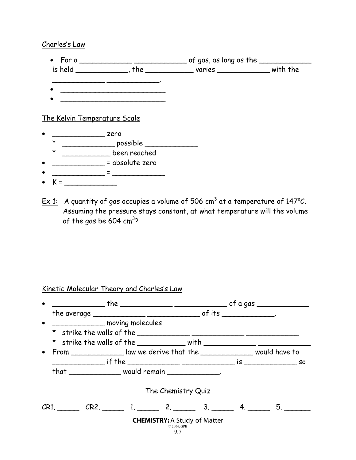### Charles's Law

|         | is held _____________, the __________________ varies __________________ with the                                |  |
|---------|-----------------------------------------------------------------------------------------------------------------|--|
|         |                                                                                                                 |  |
|         |                                                                                                                 |  |
|         |                                                                                                                 |  |
|         | The Kelvin Temperature Scale                                                                                    |  |
|         | zero                                                                                                            |  |
| $\star$ | ____________ possible ______________                                                                            |  |
| $\star$ | been reached                                                                                                    |  |
|         | = absolute zero                                                                                                 |  |
|         | and the state of the state of the state of the state of the state of the state of the state of the state of the |  |
|         |                                                                                                                 |  |

<u>Ex 1:</u> A quantity of gas occupies a volume of 506 cm<sup>3</sup> at a temperature of 147°C. Assuming the pressure stays constant, at what temperature will the volume of the gas be 604 cm $^3$ ?

# Kinetic Molecular Theory and Charles's Law

| • _________________ moving molecules                                       |  |                    |                                     |  |  |  |
|----------------------------------------------------------------------------|--|--------------------|-------------------------------------|--|--|--|
| * strike the walls of the $\frac{1}{2}$                                    |  |                    |                                     |  |  |  |
| * strike the walls of the $\_\_\_\_\_$ with $\_\_\_\_\_\_$                 |  |                    |                                     |  |  |  |
| From _______________law we derive that the _________________ would have to |  |                    |                                     |  |  |  |
|                                                                            |  |                    |                                     |  |  |  |
| that $\frac{1}{1}$ would remain $\frac{1}{1}$                              |  |                    |                                     |  |  |  |
|                                                                            |  | The Chemistry Quiz |                                     |  |  |  |
| $CR1.$ $CR2.$ $1.$ $2.$ $3.$ $4.$ $5.$                                     |  |                    |                                     |  |  |  |
|                                                                            |  | © 2004. GPB<br>9.7 | <b>CHEMISTRY: A Study of Matter</b> |  |  |  |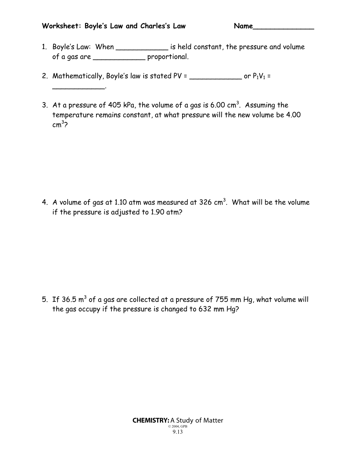## **Worksheet: Boyle's Law and Charles's Law Name\_\_\_\_\_\_\_\_\_\_\_\_\_\_**

\_\_\_\_\_\_\_\_\_\_\_\_.

- 1. Boyle's Law: When \_\_\_\_\_\_\_\_\_\_\_\_ is held constant, the pressure and volume of a gas are \_\_\_\_\_\_\_\_\_\_\_\_ proportional.
- 2. Mathematically, Boyle's law is stated PV =  $\frac{1}{2}$  or P<sub>1</sub>V<sub>1</sub> =
- 3. At a pressure of 405 kPa, the volume of a gas is 6.00  $cm<sup>3</sup>$ . Assuming the temperature remains constant, at what pressure will the new volume be 4.00 cm<sup>3</sup> ?

4. A volume of gas at 1.10 atm was measured at 326  $\mathrm{cm}^3$ . What will be the volume if the pressure is adjusted to 1.90 atm?

5. If 36.5  $m^3$  of a gas are collected at a pressure of 755 mm Hg, what volume will the gas occupy if the pressure is changed to 632 mm Hg?

> CHEMISTRY: A Study of Matter © 2004, GPB 9.13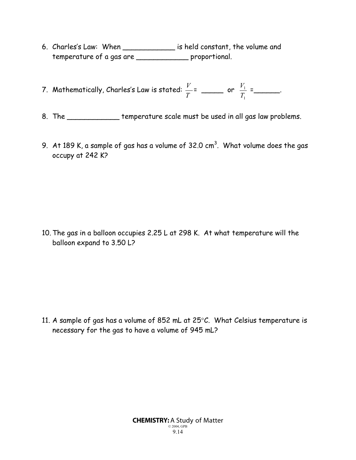- 6. Charles's Law: When \_\_\_\_\_\_\_\_\_\_\_\_ is held constant, the volume and temperature of a gas are \_\_\_\_\_\_\_\_\_\_\_\_ proportional.
- 7. Mathematically, Charles's Law is stated: *T <sup>V</sup>* <sup>=</sup> \_\_\_\_\_ or 1 1 *T*  $\frac{V_1}{T}$  = \_\_\_\_\_\_\_\_.
- 8. The \_\_\_\_\_\_\_\_\_\_\_\_ temperature scale must be used in all gas law problems.
- 9.  $\,$  At 189 K, a sample of gas has a volume of 32.0 cm $^3$ . What volume does the gas occupy at 242 K?

10. The gas in a balloon occupies 2.25 L at 298 K. At what temperature will the balloon expand to 3.50 L?

11. A sample of gas has a volume of 852 mL at 25°C. What Celsius temperature is necessary for the gas to have a volume of 945 mL?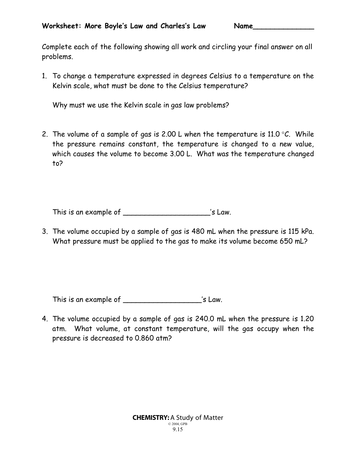Complete each of the following showing all work and circling your final answer on all problems.

1. To change a temperature expressed in degrees Celsius to a temperature on the Kelvin scale, what must be done to the Celsius temperature?

Why must we use the Kelvin scale in gas law problems?

2. The volume of a sample of gas is 2.00 L when the temperature is 11.0  $\degree$ C. While the pressure remains constant, the temperature is changed to a new value, which causes the volume to become 3.00 L. What was the temperature changed to?

This is an example of \_\_\_\_\_\_\_\_\_\_\_\_\_\_\_\_\_\_\_\_\_\_\_\_\_\_\_\_\_'s Law.

3. The volume occupied by a sample of gas is 480 mL when the pressure is 115 kPa. What pressure must be applied to the gas to make its volume become 650 mL?

This is an example of \_\_\_\_\_\_\_\_\_\_\_\_\_\_\_\_\_\_\_\_\_\_\_\_\_'s Law.

4. The volume occupied by a sample of gas is 240.0 mL when the pressure is 1.20 atm. What volume, at constant temperature, will the gas occupy when the pressure is decreased to 0.860 atm?